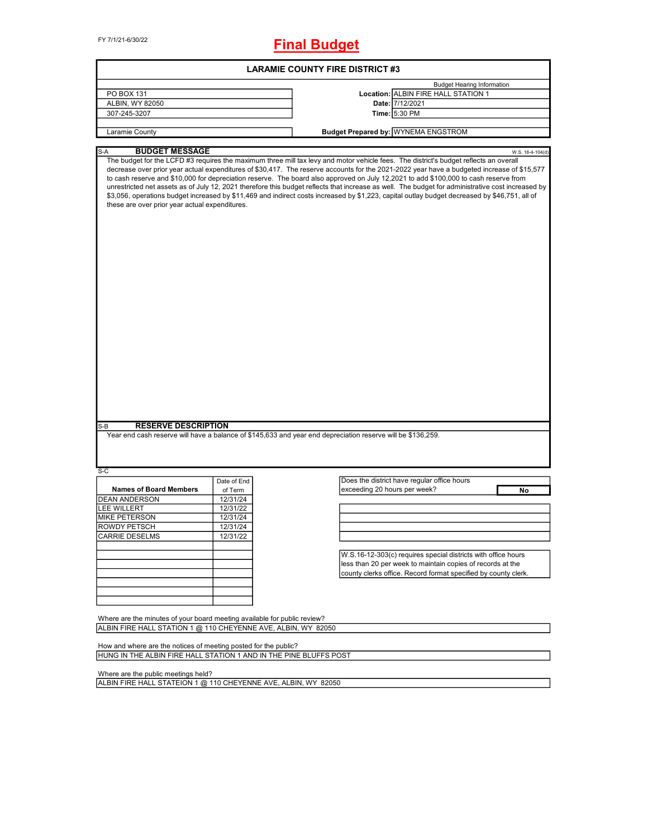FY 7/1/21-6/30/22

# **Final Budget**

| <b>LARAMIE COUNTY FIRE DISTRICT #3</b>                                                                                |             |                                                                                                                                                                                                                                                                                                                                                                                                                                                                                                                                                                                                                                                                                                                                                                                                                                                                      |  |  |  |  |  |
|-----------------------------------------------------------------------------------------------------------------------|-------------|----------------------------------------------------------------------------------------------------------------------------------------------------------------------------------------------------------------------------------------------------------------------------------------------------------------------------------------------------------------------------------------------------------------------------------------------------------------------------------------------------------------------------------------------------------------------------------------------------------------------------------------------------------------------------------------------------------------------------------------------------------------------------------------------------------------------------------------------------------------------|--|--|--|--|--|
|                                                                                                                       |             | <b>Budget Hearing Information</b>                                                                                                                                                                                                                                                                                                                                                                                                                                                                                                                                                                                                                                                                                                                                                                                                                                    |  |  |  |  |  |
| PO BOX 131                                                                                                            |             | Location: ALBIN FIRE HALL STATION 1                                                                                                                                                                                                                                                                                                                                                                                                                                                                                                                                                                                                                                                                                                                                                                                                                                  |  |  |  |  |  |
| ALBIN, WY 82050                                                                                                       |             | Date: 7/12/2021                                                                                                                                                                                                                                                                                                                                                                                                                                                                                                                                                                                                                                                                                                                                                                                                                                                      |  |  |  |  |  |
| 307-245-3207                                                                                                          |             | Time: 5:30 PM                                                                                                                                                                                                                                                                                                                                                                                                                                                                                                                                                                                                                                                                                                                                                                                                                                                        |  |  |  |  |  |
|                                                                                                                       |             |                                                                                                                                                                                                                                                                                                                                                                                                                                                                                                                                                                                                                                                                                                                                                                                                                                                                      |  |  |  |  |  |
| Laramie County                                                                                                        |             | <b>Budget Prepared by: WYNEMA ENGSTROM</b>                                                                                                                                                                                                                                                                                                                                                                                                                                                                                                                                                                                                                                                                                                                                                                                                                           |  |  |  |  |  |
|                                                                                                                       |             |                                                                                                                                                                                                                                                                                                                                                                                                                                                                                                                                                                                                                                                                                                                                                                                                                                                                      |  |  |  |  |  |
| <b>BUDGET MESSAGE</b><br>$S-A$<br>these are over prior year actual expenditures.<br><b>RESERVE DESCRIPTION</b><br>S-B |             | W.S. 16-4-104(d)<br>The budget for the LCFD #3 requires the maximum three mill tax levy and motor vehicle fees. The district's budget reflects an overall<br>decrease over prior year actual expenditures of \$30,417. The reserve accounts for the 2021-2022 year have a budgeted increase of \$15,577<br>to cash reserve and \$10,000 for depreciation reserve. The board also approved on July 12,2021 to add \$100,000 to cash reserve from<br>unrestricted net assets as of July 12, 2021 therefore this budget reflects that increase as well. The budget for administrative cost increased by<br>\$3,056, operations budget increased by \$11,469 and indirect costs increased by \$1,223, capital outlay budget decreased by \$46,751, all of<br>Year end cash reserve will have a balance of \$145,633 and year end depreciation reserve will be \$136,259. |  |  |  |  |  |
|                                                                                                                       |             |                                                                                                                                                                                                                                                                                                                                                                                                                                                                                                                                                                                                                                                                                                                                                                                                                                                                      |  |  |  |  |  |
| S-C                                                                                                                   |             |                                                                                                                                                                                                                                                                                                                                                                                                                                                                                                                                                                                                                                                                                                                                                                                                                                                                      |  |  |  |  |  |
|                                                                                                                       | Date of End | Does the district have regular office hours                                                                                                                                                                                                                                                                                                                                                                                                                                                                                                                                                                                                                                                                                                                                                                                                                          |  |  |  |  |  |
| <b>Names of Board Members</b>                                                                                         | of Term     | exceeding 20 hours per week?<br>No                                                                                                                                                                                                                                                                                                                                                                                                                                                                                                                                                                                                                                                                                                                                                                                                                                   |  |  |  |  |  |
| <b>DEAN ANDERSON</b>                                                                                                  | 12/31/24    |                                                                                                                                                                                                                                                                                                                                                                                                                                                                                                                                                                                                                                                                                                                                                                                                                                                                      |  |  |  |  |  |
| <b>LEE WILLERT</b>                                                                                                    | 12/31/22    |                                                                                                                                                                                                                                                                                                                                                                                                                                                                                                                                                                                                                                                                                                                                                                                                                                                                      |  |  |  |  |  |
| MIKE PETERSON                                                                                                         | 12/31/24    |                                                                                                                                                                                                                                                                                                                                                                                                                                                                                                                                                                                                                                                                                                                                                                                                                                                                      |  |  |  |  |  |
| ROWDY PETSCH                                                                                                          | 12/31/24    |                                                                                                                                                                                                                                                                                                                                                                                                                                                                                                                                                                                                                                                                                                                                                                                                                                                                      |  |  |  |  |  |
| <b>CARRIE DESELMS</b>                                                                                                 | 12/31/22    |                                                                                                                                                                                                                                                                                                                                                                                                                                                                                                                                                                                                                                                                                                                                                                                                                                                                      |  |  |  |  |  |
|                                                                                                                       |             |                                                                                                                                                                                                                                                                                                                                                                                                                                                                                                                                                                                                                                                                                                                                                                                                                                                                      |  |  |  |  |  |
|                                                                                                                       |             |                                                                                                                                                                                                                                                                                                                                                                                                                                                                                                                                                                                                                                                                                                                                                                                                                                                                      |  |  |  |  |  |
|                                                                                                                       |             | W.S.16-12-303(c) requires special districts with office hours                                                                                                                                                                                                                                                                                                                                                                                                                                                                                                                                                                                                                                                                                                                                                                                                        |  |  |  |  |  |
|                                                                                                                       |             | less than 20 per week to maintain copies of records at the                                                                                                                                                                                                                                                                                                                                                                                                                                                                                                                                                                                                                                                                                                                                                                                                           |  |  |  |  |  |
|                                                                                                                       |             | county clerks office. Record format specified by county clerk.                                                                                                                                                                                                                                                                                                                                                                                                                                                                                                                                                                                                                                                                                                                                                                                                       |  |  |  |  |  |
|                                                                                                                       |             |                                                                                                                                                                                                                                                                                                                                                                                                                                                                                                                                                                                                                                                                                                                                                                                                                                                                      |  |  |  |  |  |
|                                                                                                                       |             |                                                                                                                                                                                                                                                                                                                                                                                                                                                                                                                                                                                                                                                                                                                                                                                                                                                                      |  |  |  |  |  |
|                                                                                                                       |             |                                                                                                                                                                                                                                                                                                                                                                                                                                                                                                                                                                                                                                                                                                                                                                                                                                                                      |  |  |  |  |  |
|                                                                                                                       |             |                                                                                                                                                                                                                                                                                                                                                                                                                                                                                                                                                                                                                                                                                                                                                                                                                                                                      |  |  |  |  |  |
| Where are the minutes of your board meeting available for public review?                                              |             |                                                                                                                                                                                                                                                                                                                                                                                                                                                                                                                                                                                                                                                                                                                                                                                                                                                                      |  |  |  |  |  |
| ALBIN FIRE HALL STATION 1 @ 110 CHEYENNE AVE, ALBIN, WY 82050                                                         |             |                                                                                                                                                                                                                                                                                                                                                                                                                                                                                                                                                                                                                                                                                                                                                                                                                                                                      |  |  |  |  |  |
|                                                                                                                       |             |                                                                                                                                                                                                                                                                                                                                                                                                                                                                                                                                                                                                                                                                                                                                                                                                                                                                      |  |  |  |  |  |
| How and where are the notices of meeting posted for the public?                                                       |             |                                                                                                                                                                                                                                                                                                                                                                                                                                                                                                                                                                                                                                                                                                                                                                                                                                                                      |  |  |  |  |  |
| HUNG IN THE ALBIN FIRE HALL STATION 1 AND IN THE PINE BLUFFS POST                                                     |             |                                                                                                                                                                                                                                                                                                                                                                                                                                                                                                                                                                                                                                                                                                                                                                                                                                                                      |  |  |  |  |  |
|                                                                                                                       |             |                                                                                                                                                                                                                                                                                                                                                                                                                                                                                                                                                                                                                                                                                                                                                                                                                                                                      |  |  |  |  |  |
| Where are the public meetings held?                                                                                   |             |                                                                                                                                                                                                                                                                                                                                                                                                                                                                                                                                                                                                                                                                                                                                                                                                                                                                      |  |  |  |  |  |
| ALBIN FIRE HALL STATEION 1 @ 110 CHEYENNE AVE, ALBIN, WY 82050                                                        |             |                                                                                                                                                                                                                                                                                                                                                                                                                                                                                                                                                                                                                                                                                                                                                                                                                                                                      |  |  |  |  |  |
|                                                                                                                       |             |                                                                                                                                                                                                                                                                                                                                                                                                                                                                                                                                                                                                                                                                                                                                                                                                                                                                      |  |  |  |  |  |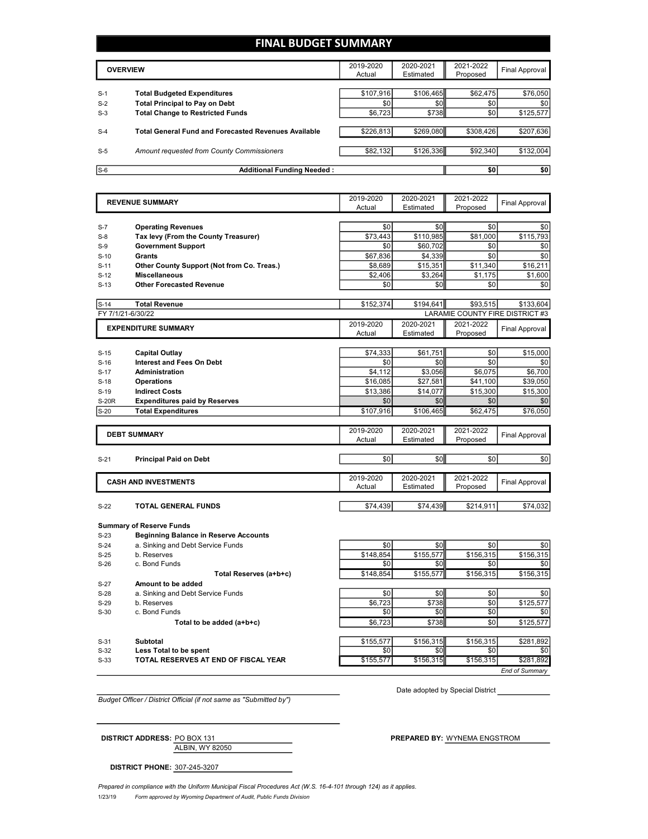### **FINAL BUDGET SUMMARY**

|       | <b>OVERVIEW</b>                                      | 2019-2020<br>Actual | 2020-2021<br>Estimated | 2021-2022<br>Proposed | Final Approval |
|-------|------------------------------------------------------|---------------------|------------------------|-----------------------|----------------|
|       |                                                      |                     |                        |                       |                |
| $S-1$ | <b>Total Budgeted Expenditures</b>                   | \$107.916           | \$106,465              | \$62,475              | \$76,050       |
| $S-2$ | <b>Total Principal to Pay on Debt</b>                | \$0                 | \$0 <sub>1</sub>       | \$0                   | \$0            |
| $S-3$ | <b>Total Change to Restricted Funds</b>              | \$6,723             | \$738                  | \$0                   | \$125,577      |
|       |                                                      |                     |                        |                       |                |
| $S-4$ | Total General Fund and Forecasted Revenues Available | \$226,813           | \$269,080              | \$308.426             | \$207,636      |
|       |                                                      |                     |                        |                       |                |
| $S-5$ | Amount requested from County Commissioners           | \$82,132            | \$126,336              | \$92.340              | \$132,004      |
|       |                                                      |                     |                        |                       |                |
| $S-6$ | Additional Funding Needed:                           |                     |                        | \$0                   | \$0            |

|                   | <b>REVENUE SUMMARY</b>                       | 2019-2020        | 2020-2021        | 2021-2022                       | <b>Final Approval</b> |
|-------------------|----------------------------------------------|------------------|------------------|---------------------------------|-----------------------|
|                   |                                              | Actual           | Estimated        | Proposed                        |                       |
|                   |                                              |                  |                  |                                 |                       |
| $S-7$             | <b>Operating Revenues</b>                    | \$0              | \$0              | \$0                             | \$0                   |
| $S-8$             | Tax levy (From the County Treasurer)         | \$73.443         | \$110,985        | \$81,000                        | \$115,793             |
| $S-9$             | <b>Government Support</b>                    | \$0              | \$60,702         | \$0                             | \$0                   |
| $S-10$            | Grants                                       | \$67,836         | \$4,339          | \$0                             | \$0                   |
| $S-11$            | Other County Support (Not from Co. Treas.)   | \$8,689          | \$15,351         | \$11,340                        | \$16,211              |
| $S-12$            | <b>Miscellaneous</b>                         | \$2,406          | \$3,264          | \$1,175                         | \$1,600               |
| $S-13$            | <b>Other Forecasted Revenue</b>              | \$0              | \$0              | \$0                             | \$0                   |
| $S-14$            | <b>Total Revenue</b>                         | \$152,374        | \$194.641        | \$93.515                        | \$133.604             |
| FY 7/1/21-6/30/22 |                                              |                  |                  | LARAMIE COUNTY FIRE DISTRICT #3 |                       |
|                   | <b>EXPENDITURE SUMMARY</b>                   | 2019-2020        | 2020-2021        | 2021-2022                       |                       |
|                   |                                              | Actual           | Estimated        | Proposed                        | <b>Final Approval</b> |
|                   |                                              |                  |                  |                                 |                       |
| $S-15$            | <b>Capital Outlay</b>                        | \$74,333         | \$61,751         | \$0                             | \$15,000              |
| $S-16$            | <b>Interest and Fees On Debt</b>             | \$0              | \$0              | \$0                             | \$0                   |
| $S-17$            | <b>Administration</b>                        | \$4,112          | \$3.056          | \$6.075                         | \$6,700               |
| $S-18$            | <b>Operations</b>                            | \$16,085         | \$27,581         | \$41,100                        | \$39,050              |
| $S-19$            | <b>Indirect Costs</b>                        | \$13,386         | \$14,077         | \$15,300                        | \$15,300              |
| <b>S-20R</b>      | <b>Expenditures paid by Reserves</b>         | \$0              | \$0              | \$0                             | \$0                   |
| $S-20$            | <b>Total Expenditures</b>                    | \$107,916        | \$106,465        | \$62,475                        | \$76,050              |
|                   |                                              |                  |                  |                                 |                       |
|                   | <b>DEBT SUMMARY</b>                          | 2019-2020        | 2020-2021        | 2021-2022                       | <b>Final Approval</b> |
|                   |                                              | Actual           | Estimated        | Proposed                        |                       |
| $S-21$            | <b>Principal Paid on Debt</b>                | \$0              | \$0              | \$0                             | \$0                   |
|                   |                                              |                  |                  |                                 |                       |
|                   |                                              | 2019-2020        | 2020-2021        | 2021-2022                       |                       |
|                   | <b>CASH AND INVESTMENTS</b>                  |                  |                  |                                 |                       |
|                   |                                              | Actual           | Estimated        | Proposed                        | <b>Final Approval</b> |
|                   |                                              |                  |                  |                                 |                       |
| $S-22$            | <b>TOTAL GENERAL FUNDS</b>                   | \$74,439         | \$74,439         | \$214,911                       | \$74,032              |
|                   |                                              |                  |                  |                                 |                       |
|                   | <b>Summary of Reserve Funds</b>              |                  |                  |                                 |                       |
| $S-23$            | <b>Beginning Balance in Reserve Accounts</b> |                  |                  |                                 |                       |
| $S-24$            | a. Sinking and Debt Service Funds            | \$0              | \$0              | \$0                             | \$0                   |
| $S-25$            | b. Reserves                                  | \$148,854        | \$155,577        | \$156,315                       | \$156,315             |
| $S-26$            | c. Bond Funds                                | \$0              | \$0              | \$0                             | \$0                   |
|                   | Total Reserves (a+b+c)                       | \$148,854        | \$155,577        | \$156,315                       | \$156,315             |
| $S-27$            | Amount to be added                           |                  |                  |                                 |                       |
| $S-28$            | a. Sinking and Debt Service Funds            | \$0              | \$0              | \$0                             | \$0                   |
| $S-29$            | b. Reserves                                  | \$6.723          | \$738            | \$0                             | \$125.577             |
| $S-30$            | c. Bond Funds                                | \$0              | \$0              | \$0                             | \$0                   |
|                   | Total to be added (a+b+c)                    | \$6,723          | \$738            | \$0                             | \$125,577             |
|                   |                                              |                  |                  |                                 |                       |
| $S-31$<br>$S-32$  | <b>Subtotal</b><br>Less Total to be spent    | \$155,577<br>\$0 | \$156,315<br>\$0 | \$156,315<br>\$0                | \$281,892<br>\$0      |

*Budget Officer / District Official (if not same as "Submitted by")*

Date adopted by Special District

*End of Summary*

ALBIN, WY 82050 **DISTRICT ADDRESS:** PO BOX 131 **PREPARED BY:** WYNEMA ENGSTROM

**DISTRICT PHONE:** 307-245-3207

1/23/19 *Form approved by Wyoming Department of Audit, Public Funds Division Prepared in compliance with the Uniform Municipal Fiscal Procedures Act (W.S. 16-4-101 through 124) as it applies.*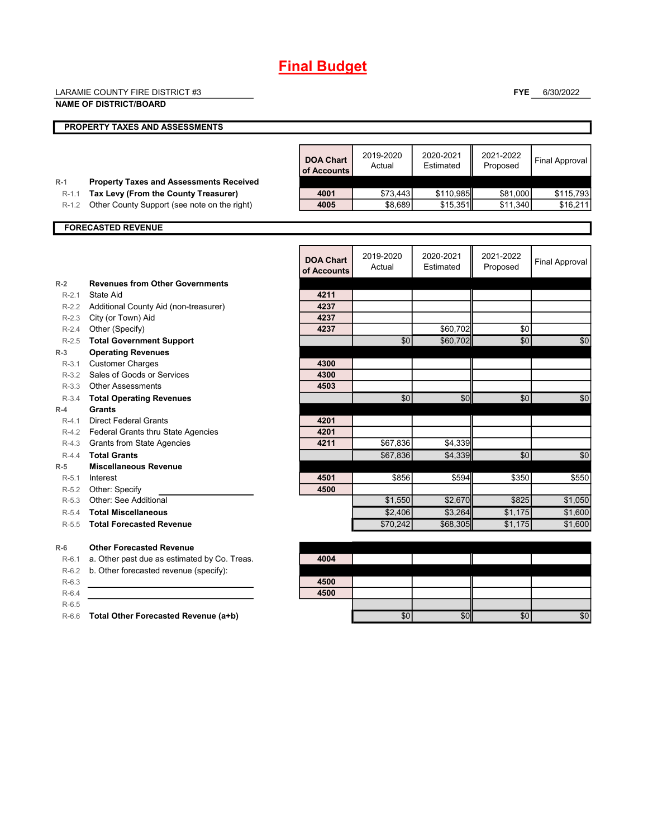# **Final Budget**

|                      | LARAMIE COUNTY FIRE DISTRICT #3                                                      |                                 |                     |                        | <b>FYE</b>            | 6/30/2022             |
|----------------------|--------------------------------------------------------------------------------------|---------------------------------|---------------------|------------------------|-----------------------|-----------------------|
|                      | <b>NAME OF DISTRICT/BOARD</b>                                                        |                                 |                     |                        |                       |                       |
|                      | PROPERTY TAXES AND ASSESSMENTS                                                       |                                 |                     |                        |                       |                       |
|                      |                                                                                      |                                 |                     |                        |                       |                       |
|                      |                                                                                      | <b>DOA Chart</b><br>of Accounts | 2019-2020<br>Actual | 2020-2021<br>Estimated | 2021-2022<br>Proposed | <b>Final Approval</b> |
| $R-1$                | <b>Property Taxes and Assessments Received</b>                                       | 4001                            |                     |                        |                       |                       |
| $R - 1.1$<br>$R-1.2$ | Tax Levy (From the County Treasurer)<br>Other County Support (see note on the right) | 4005                            | \$73,443<br>\$8,689 | \$110,985<br>\$15,351  | \$81,000<br>\$11,340  | \$115,793<br>\$16,211 |
|                      |                                                                                      |                                 |                     |                        |                       |                       |
|                      | <b>FORECASTED REVENUE</b>                                                            |                                 |                     |                        |                       |                       |
|                      |                                                                                      |                                 |                     |                        |                       |                       |
|                      |                                                                                      | <b>DOA Chart</b><br>of Accounts | 2019-2020<br>Actual | 2020-2021<br>Estimated | 2021-2022<br>Proposed | <b>Final Approval</b> |
| $R-2$                | <b>Revenues from Other Governments</b>                                               |                                 |                     |                        |                       |                       |
| $R-2.1$              | State Aid                                                                            | 4211                            |                     |                        |                       |                       |
| $R-2.2$              | Additional County Aid (non-treasurer)                                                | 4237                            |                     |                        |                       |                       |
|                      | R-2.3 City (or Town) Aid                                                             | 4237                            |                     |                        |                       |                       |
| $R - 2.4$            | Other (Specify)                                                                      | 4237                            |                     | \$60,702               | \$0                   |                       |
| $R-2.5$              | <b>Total Government Support</b>                                                      |                                 | \$0                 | \$60,702               | \$0                   | \$0                   |
| $R-3$                | <b>Operating Revenues</b>                                                            |                                 |                     |                        |                       |                       |
| $R - 3.1$            | <b>Customer Charges</b>                                                              | 4300<br>4300                    |                     |                        |                       |                       |
| $R-3.2$              | Sales of Goods or Services<br>R-3.3 Other Assessments                                | 4503                            |                     |                        |                       |                       |
| $R-3.4$              | <b>Total Operating Revenues</b>                                                      |                                 | \$0                 | \$0                    | \$0                   | \$0                   |
| $R-4$                | <b>Grants</b>                                                                        |                                 |                     |                        |                       |                       |
| $R-4.1$              | <b>Direct Federal Grants</b>                                                         | 4201                            |                     |                        |                       |                       |
|                      | R-4.2 Federal Grants thru State Agencies                                             | 4201                            |                     |                        |                       |                       |
|                      | R-4.3 Grants from State Agencies                                                     | 4211                            | \$67,836            | \$4,339                |                       |                       |
| $R-4.4$              | <b>Total Grants</b>                                                                  |                                 | \$67,836            | \$4,339                | \$0                   | \$0                   |
| $R-5$                | <b>Miscellaneous Revenue</b>                                                         |                                 |                     |                        |                       |                       |
| $R-5.1$              | Interest                                                                             | 4501                            | \$856               | \$594                  | \$350                 | \$550                 |
| $R-5.2$              | Other: Specify                                                                       | 4500                            |                     |                        |                       |                       |
| $R-5.3$              | Other: See Additional                                                                |                                 | \$1,550             | \$2,670                | \$825                 | \$1,050               |
| $R-5.4$              | <b>Total Miscellaneous</b>                                                           |                                 | \$2,406             | \$3.264                | \$1,175               | \$1,600               |
| $R-5.5$              | <b>Total Forecasted Revenue</b>                                                      |                                 | \$70,242            | \$68,305               | \$1,175               | \$1,600               |
| $R-6$                | <b>Other Forecasted Revenue</b>                                                      |                                 |                     |                        |                       |                       |
| $R-6.1$              | a. Other past due as estimated by Co. Treas.                                         | 4004                            |                     |                        |                       |                       |
| $R-6.2$              | b. Other forecasted revenue (specify):                                               |                                 |                     |                        |                       |                       |
| $R-6.3$              |                                                                                      | 4500                            |                     |                        |                       |                       |
| $R-6.4$              |                                                                                      | 4500                            |                     |                        |                       |                       |
| $R-6.5$              |                                                                                      |                                 |                     |                        |                       |                       |
| $R-6.6$              | Total Other Forecasted Revenue (a+b)                                                 |                                 | \$0                 | \$0                    | \$0                   | \$0                   |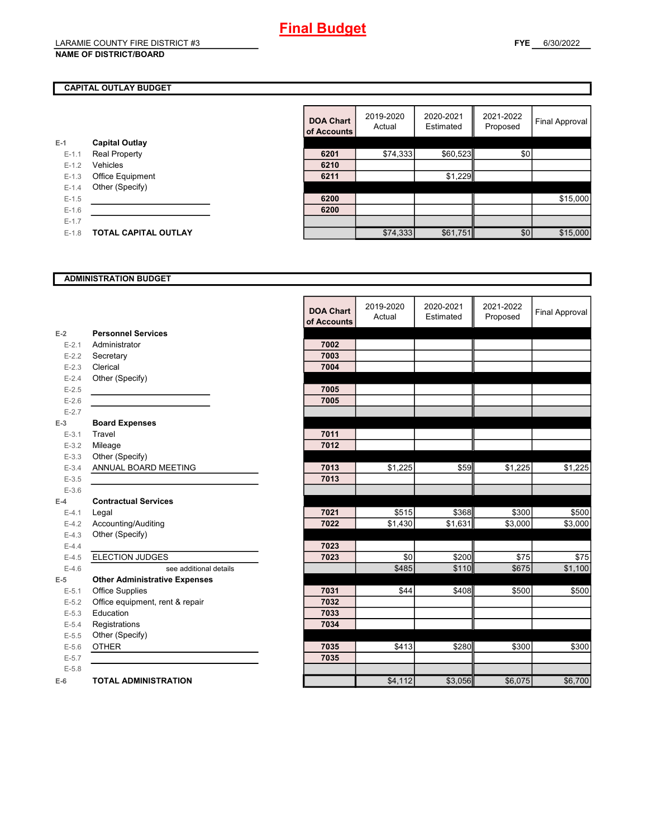## **Final Budget**

#### **NAME OF DISTRICT/BOARD**

#### **CAPITAL OUTLAY BUDGET**

|           |                             | vi rwyvu |
|-----------|-----------------------------|----------|
| E-1       | <b>Capital Outlay</b>       |          |
| $E - 1.1$ | <b>Real Property</b>        | 6201     |
| $E - 1.2$ | Vehicles                    | 6210     |
| $E - 1.3$ | <b>Office Equipment</b>     | 6211     |
| $E - 1.4$ | Other (Specify)             |          |
| $E-1.5$   |                             | 6200     |
| $E-1.6$   |                             | 6200     |
| $E - 1.7$ |                             |          |
| $E - 1.8$ | <b>TOTAL CAPITAL OUTLAY</b> |          |
|           |                             |          |

|         |                             | <b>DOA Chart</b><br>of Accounts | 2019-2020<br>Actual | 2020-2021<br>Estimated | 2021-2022<br>Proposed | Final Approval |
|---------|-----------------------------|---------------------------------|---------------------|------------------------|-----------------------|----------------|
|         | <b>Capital Outlay</b>       |                                 |                     |                        |                       |                |
| $E-1.1$ | <b>Real Property</b>        | 6201                            | \$74,333            | \$60,523               | \$0                   |                |
| $E-1.2$ | Vehicles                    | 6210                            |                     |                        |                       |                |
| $E-1.3$ | Office Equipment            | 6211                            |                     | \$1,229                |                       |                |
| $E-1.4$ | Other (Specify)             |                                 |                     |                        |                       |                |
| $E-1.5$ |                             | 6200                            |                     |                        |                       | \$15,000       |
| $E-1.6$ |                             | 6200                            |                     |                        |                       |                |
| $E-1.7$ |                             |                                 |                     |                        |                       |                |
| $E-1.8$ | <b>TOTAL CAPITAL OUTLAY</b> |                                 | \$74,333            | \$61,751               | \$0                   | \$15,000       |

#### **ADMINISTRATION BUDGET**

|           |                                      | <b>DOA Chart</b><br>of Accounts | 2019-2020<br>Actual | 2020-2021<br>Estimated | 2021-2022<br>Proposed | <b>Final Approval</b> |
|-----------|--------------------------------------|---------------------------------|---------------------|------------------------|-----------------------|-----------------------|
| $E-2$     | <b>Personnel Services</b>            |                                 |                     |                        |                       |                       |
| $E - 2.1$ | Administrator                        | 7002                            |                     |                        |                       |                       |
| $E - 2.2$ | Secretary                            | 7003                            |                     |                        |                       |                       |
| $E - 2.3$ | Clerical                             | 7004                            |                     |                        |                       |                       |
| $E - 2.4$ | Other (Specify)                      |                                 |                     |                        |                       |                       |
| $E - 2.5$ |                                      | 7005                            |                     |                        |                       |                       |
| $E-2.6$   |                                      | 7005                            |                     |                        |                       |                       |
| $E - 2.7$ |                                      |                                 |                     |                        |                       |                       |
| $E-3$     | <b>Board Expenses</b>                |                                 |                     |                        |                       |                       |
| $E - 3.1$ | Travel                               | 7011                            |                     |                        |                       |                       |
| $E - 3.2$ | Mileage                              | 7012                            |                     |                        |                       |                       |
| $E - 3.3$ | Other (Specify)                      |                                 |                     |                        |                       |                       |
| $E - 3.4$ | ANNUAL BOARD MEETING                 | 7013                            | \$1,225             | \$59                   | \$1,225               | \$1,225               |
| $E - 3.5$ |                                      | 7013                            |                     |                        |                       |                       |
| $E - 3.6$ |                                      |                                 |                     |                        |                       |                       |
| $E-4$     | <b>Contractual Services</b>          |                                 |                     |                        |                       |                       |
| $E - 4.1$ | Legal                                | 7021                            | \$515               | \$368                  | \$300                 | \$500                 |
| $E-4.2$   | Accounting/Auditing                  | 7022                            | \$1,430             | \$1,631                | \$3,000               | \$3,000               |
| $E-4.3$   | Other (Specify)                      |                                 |                     |                        |                       |                       |
| $E-4.4$   |                                      | 7023                            |                     |                        |                       |                       |
| $E-4.5$   | <b>ELECTION JUDGES</b>               | 7023                            | \$0                 | \$200                  | \$75                  | \$75                  |
| $E-4.6$   | see additional details               |                                 | \$485               | \$110                  | \$675                 | \$1,100               |
| $E-5$     | <b>Other Administrative Expenses</b> |                                 |                     |                        |                       |                       |
| $E - 5.1$ | Office Supplies                      | 7031                            | \$44                | \$408                  | \$500                 | \$500                 |
| $E-5.2$   | Office equipment, rent & repair      | 7032                            |                     |                        |                       |                       |
| $E-5.3$   | Education                            | 7033                            |                     |                        |                       |                       |
| $E - 5.4$ | Registrations                        | 7034                            |                     |                        |                       |                       |
| $E - 5.5$ | Other (Specify)                      |                                 |                     |                        |                       |                       |
| $E - 5.6$ | <b>OTHER</b>                         | 7035                            | \$413               | \$280                  | \$300                 | \$300                 |
| $E - 5.7$ |                                      | 7035                            |                     |                        |                       |                       |
| $E - 5.8$ |                                      |                                 |                     |                        |                       |                       |
| $E-6$     | <b>TOTAL ADMINISTRATION</b>          |                                 | \$4,112             | \$3,056                | \$6,075               | \$6,700               |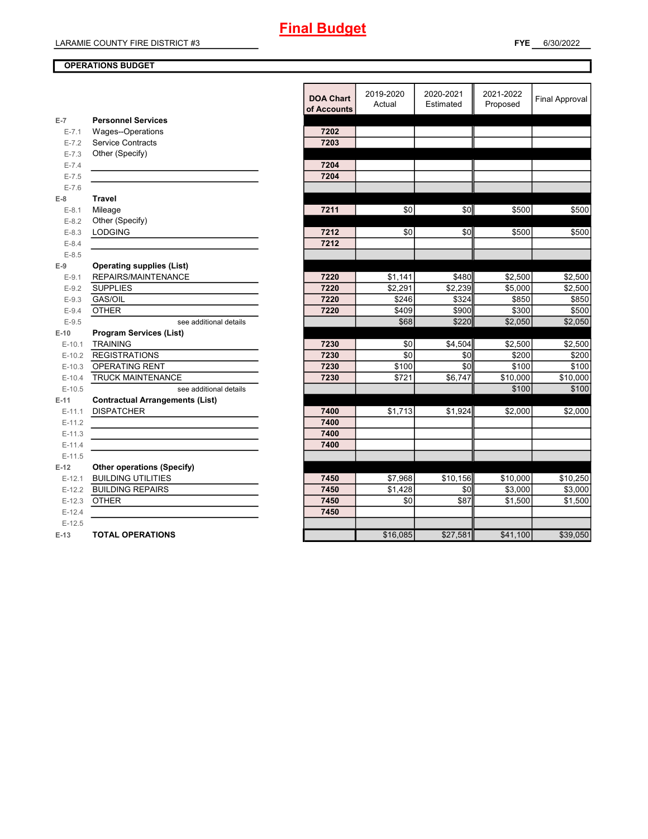#### **OPERATIONS BUDGET**

| 2020-2021<br>2019-2020<br>2021-2022<br><b>DOA Chart</b><br>Actual<br>Estimated<br>Proposed<br>of Accounts<br><b>Personnel Services</b><br>$E-7$<br>Wages--Operations<br>7202<br>$E - 7.1$<br>Service Contracts<br>7203<br>$E - 7.2$<br>Other (Specify)<br>$E - 7.3$<br>7204<br>$E - 7.4$<br>$E - 7.5$<br>7204<br>$E - 7.6$<br><b>Travel</b><br>$E-8$<br>\$0<br>\$0<br>\$500<br>7211<br>$E-8.1$<br>Mileage<br>Other (Specify)<br>$E - 8.2$<br>\$0<br><b>LODGING</b><br>7212<br>\$0<br>\$500<br>$E-8.3$<br>7212<br>$E-8.4$<br>$E-8.5$<br><b>Operating supplies (List)</b><br>$E-9$<br>REPAIRS/MAINTENANCE<br>\$480<br>\$2,500<br>7220<br>\$1,141<br>$E-9.1$<br><b>SUPPLIES</b><br>7220<br>\$2,291<br>\$2,239<br>\$5,000<br>$E-9.2$<br>GAS/OIL<br>7220<br>\$246<br>\$324<br>\$850<br>$E-9.3$<br>\$300<br><b>OTHER</b><br>7220<br>\$409<br>\$900<br>$E-9.4$<br>\$220<br>\$2,050<br>\$68<br>$E-9.5$<br>see additional details<br><b>Program Services (List)</b><br>$E-10$<br><b>TRAINING</b><br>\$2,500<br>7230<br>\$0<br>\$4,504<br>$E-10.1$<br><b>REGISTRATIONS</b><br>7230<br>\$0<br>\$0<br>\$200<br>$E-10.2$<br>\$0<br>OPERATING RENT<br>7230<br>\$100<br>\$100<br>$E-10.3$<br><b>TRUCK MAINTENANCE</b><br>7230<br>\$721<br>\$6,747<br>\$10,000<br>$E-10.4$<br>\$100<br>$E-10.5$<br>see additional details<br>$E-11$<br><b>Contractual Arrangements (List)</b><br>\$1,713<br><b>DISPATCHER</b><br>\$1,924<br>\$2,000<br>$E-11.1$<br>7400<br>7400<br>$E-11.2$<br>7400<br>$E-11.3$<br>$E-11.4$<br>7400<br>$E-11.5$<br>$E-12$<br><b>Other operations (Specify)</b><br>\$7,968<br>\$10,156<br><b>BUILDING UTILITIES</b><br>7450<br>\$10,000<br>\$10,250<br>$E-12.1$<br><b>BUILDING REPAIRS</b><br>7450<br>\$1,428<br>\$0<br>\$3,000<br>$E-12.2$<br>\$87<br><b>OTHER</b><br>7450<br>\$0<br>\$1,500<br>$E-12.3$<br>7450<br>$E-12.4$<br>$E-12.5$<br>\$16,085<br>\$27,581<br>\$41,100<br><b>TOTAL OPERATIONS</b><br>$E-13$ |  |  |  |                       |
|-------------------------------------------------------------------------------------------------------------------------------------------------------------------------------------------------------------------------------------------------------------------------------------------------------------------------------------------------------------------------------------------------------------------------------------------------------------------------------------------------------------------------------------------------------------------------------------------------------------------------------------------------------------------------------------------------------------------------------------------------------------------------------------------------------------------------------------------------------------------------------------------------------------------------------------------------------------------------------------------------------------------------------------------------------------------------------------------------------------------------------------------------------------------------------------------------------------------------------------------------------------------------------------------------------------------------------------------------------------------------------------------------------------------------------------------------------------------------------------------------------------------------------------------------------------------------------------------------------------------------------------------------------------------------------------------------------------------------------------------------------------------------------------------------------------------------------------------------------------------------------------------------------------------|--|--|--|-----------------------|
|                                                                                                                                                                                                                                                                                                                                                                                                                                                                                                                                                                                                                                                                                                                                                                                                                                                                                                                                                                                                                                                                                                                                                                                                                                                                                                                                                                                                                                                                                                                                                                                                                                                                                                                                                                                                                                                                                                                   |  |  |  | <b>Final Approval</b> |
|                                                                                                                                                                                                                                                                                                                                                                                                                                                                                                                                                                                                                                                                                                                                                                                                                                                                                                                                                                                                                                                                                                                                                                                                                                                                                                                                                                                                                                                                                                                                                                                                                                                                                                                                                                                                                                                                                                                   |  |  |  |                       |
|                                                                                                                                                                                                                                                                                                                                                                                                                                                                                                                                                                                                                                                                                                                                                                                                                                                                                                                                                                                                                                                                                                                                                                                                                                                                                                                                                                                                                                                                                                                                                                                                                                                                                                                                                                                                                                                                                                                   |  |  |  |                       |
|                                                                                                                                                                                                                                                                                                                                                                                                                                                                                                                                                                                                                                                                                                                                                                                                                                                                                                                                                                                                                                                                                                                                                                                                                                                                                                                                                                                                                                                                                                                                                                                                                                                                                                                                                                                                                                                                                                                   |  |  |  |                       |
|                                                                                                                                                                                                                                                                                                                                                                                                                                                                                                                                                                                                                                                                                                                                                                                                                                                                                                                                                                                                                                                                                                                                                                                                                                                                                                                                                                                                                                                                                                                                                                                                                                                                                                                                                                                                                                                                                                                   |  |  |  |                       |
|                                                                                                                                                                                                                                                                                                                                                                                                                                                                                                                                                                                                                                                                                                                                                                                                                                                                                                                                                                                                                                                                                                                                                                                                                                                                                                                                                                                                                                                                                                                                                                                                                                                                                                                                                                                                                                                                                                                   |  |  |  |                       |
|                                                                                                                                                                                                                                                                                                                                                                                                                                                                                                                                                                                                                                                                                                                                                                                                                                                                                                                                                                                                                                                                                                                                                                                                                                                                                                                                                                                                                                                                                                                                                                                                                                                                                                                                                                                                                                                                                                                   |  |  |  |                       |
|                                                                                                                                                                                                                                                                                                                                                                                                                                                                                                                                                                                                                                                                                                                                                                                                                                                                                                                                                                                                                                                                                                                                                                                                                                                                                                                                                                                                                                                                                                                                                                                                                                                                                                                                                                                                                                                                                                                   |  |  |  |                       |
|                                                                                                                                                                                                                                                                                                                                                                                                                                                                                                                                                                                                                                                                                                                                                                                                                                                                                                                                                                                                                                                                                                                                                                                                                                                                                                                                                                                                                                                                                                                                                                                                                                                                                                                                                                                                                                                                                                                   |  |  |  |                       |
|                                                                                                                                                                                                                                                                                                                                                                                                                                                                                                                                                                                                                                                                                                                                                                                                                                                                                                                                                                                                                                                                                                                                                                                                                                                                                                                                                                                                                                                                                                                                                                                                                                                                                                                                                                                                                                                                                                                   |  |  |  | \$500                 |
|                                                                                                                                                                                                                                                                                                                                                                                                                                                                                                                                                                                                                                                                                                                                                                                                                                                                                                                                                                                                                                                                                                                                                                                                                                                                                                                                                                                                                                                                                                                                                                                                                                                                                                                                                                                                                                                                                                                   |  |  |  |                       |
|                                                                                                                                                                                                                                                                                                                                                                                                                                                                                                                                                                                                                                                                                                                                                                                                                                                                                                                                                                                                                                                                                                                                                                                                                                                                                                                                                                                                                                                                                                                                                                                                                                                                                                                                                                                                                                                                                                                   |  |  |  | \$500                 |
|                                                                                                                                                                                                                                                                                                                                                                                                                                                                                                                                                                                                                                                                                                                                                                                                                                                                                                                                                                                                                                                                                                                                                                                                                                                                                                                                                                                                                                                                                                                                                                                                                                                                                                                                                                                                                                                                                                                   |  |  |  |                       |
|                                                                                                                                                                                                                                                                                                                                                                                                                                                                                                                                                                                                                                                                                                                                                                                                                                                                                                                                                                                                                                                                                                                                                                                                                                                                                                                                                                                                                                                                                                                                                                                                                                                                                                                                                                                                                                                                                                                   |  |  |  |                       |
|                                                                                                                                                                                                                                                                                                                                                                                                                                                                                                                                                                                                                                                                                                                                                                                                                                                                                                                                                                                                                                                                                                                                                                                                                                                                                                                                                                                                                                                                                                                                                                                                                                                                                                                                                                                                                                                                                                                   |  |  |  |                       |
|                                                                                                                                                                                                                                                                                                                                                                                                                                                                                                                                                                                                                                                                                                                                                                                                                                                                                                                                                                                                                                                                                                                                                                                                                                                                                                                                                                                                                                                                                                                                                                                                                                                                                                                                                                                                                                                                                                                   |  |  |  | \$2,500               |
|                                                                                                                                                                                                                                                                                                                                                                                                                                                                                                                                                                                                                                                                                                                                                                                                                                                                                                                                                                                                                                                                                                                                                                                                                                                                                                                                                                                                                                                                                                                                                                                                                                                                                                                                                                                                                                                                                                                   |  |  |  | \$2,500               |
|                                                                                                                                                                                                                                                                                                                                                                                                                                                                                                                                                                                                                                                                                                                                                                                                                                                                                                                                                                                                                                                                                                                                                                                                                                                                                                                                                                                                                                                                                                                                                                                                                                                                                                                                                                                                                                                                                                                   |  |  |  | \$850                 |
|                                                                                                                                                                                                                                                                                                                                                                                                                                                                                                                                                                                                                                                                                                                                                                                                                                                                                                                                                                                                                                                                                                                                                                                                                                                                                                                                                                                                                                                                                                                                                                                                                                                                                                                                                                                                                                                                                                                   |  |  |  | \$500                 |
|                                                                                                                                                                                                                                                                                                                                                                                                                                                                                                                                                                                                                                                                                                                                                                                                                                                                                                                                                                                                                                                                                                                                                                                                                                                                                                                                                                                                                                                                                                                                                                                                                                                                                                                                                                                                                                                                                                                   |  |  |  | \$2,050               |
|                                                                                                                                                                                                                                                                                                                                                                                                                                                                                                                                                                                                                                                                                                                                                                                                                                                                                                                                                                                                                                                                                                                                                                                                                                                                                                                                                                                                                                                                                                                                                                                                                                                                                                                                                                                                                                                                                                                   |  |  |  |                       |
|                                                                                                                                                                                                                                                                                                                                                                                                                                                                                                                                                                                                                                                                                                                                                                                                                                                                                                                                                                                                                                                                                                                                                                                                                                                                                                                                                                                                                                                                                                                                                                                                                                                                                                                                                                                                                                                                                                                   |  |  |  | \$2,500               |
|                                                                                                                                                                                                                                                                                                                                                                                                                                                                                                                                                                                                                                                                                                                                                                                                                                                                                                                                                                                                                                                                                                                                                                                                                                                                                                                                                                                                                                                                                                                                                                                                                                                                                                                                                                                                                                                                                                                   |  |  |  | \$200                 |
|                                                                                                                                                                                                                                                                                                                                                                                                                                                                                                                                                                                                                                                                                                                                                                                                                                                                                                                                                                                                                                                                                                                                                                                                                                                                                                                                                                                                                                                                                                                                                                                                                                                                                                                                                                                                                                                                                                                   |  |  |  | \$100                 |
|                                                                                                                                                                                                                                                                                                                                                                                                                                                                                                                                                                                                                                                                                                                                                                                                                                                                                                                                                                                                                                                                                                                                                                                                                                                                                                                                                                                                                                                                                                                                                                                                                                                                                                                                                                                                                                                                                                                   |  |  |  | \$10,000              |
|                                                                                                                                                                                                                                                                                                                                                                                                                                                                                                                                                                                                                                                                                                                                                                                                                                                                                                                                                                                                                                                                                                                                                                                                                                                                                                                                                                                                                                                                                                                                                                                                                                                                                                                                                                                                                                                                                                                   |  |  |  | \$100                 |
|                                                                                                                                                                                                                                                                                                                                                                                                                                                                                                                                                                                                                                                                                                                                                                                                                                                                                                                                                                                                                                                                                                                                                                                                                                                                                                                                                                                                                                                                                                                                                                                                                                                                                                                                                                                                                                                                                                                   |  |  |  |                       |
|                                                                                                                                                                                                                                                                                                                                                                                                                                                                                                                                                                                                                                                                                                                                                                                                                                                                                                                                                                                                                                                                                                                                                                                                                                                                                                                                                                                                                                                                                                                                                                                                                                                                                                                                                                                                                                                                                                                   |  |  |  | \$2,000               |
|                                                                                                                                                                                                                                                                                                                                                                                                                                                                                                                                                                                                                                                                                                                                                                                                                                                                                                                                                                                                                                                                                                                                                                                                                                                                                                                                                                                                                                                                                                                                                                                                                                                                                                                                                                                                                                                                                                                   |  |  |  |                       |
|                                                                                                                                                                                                                                                                                                                                                                                                                                                                                                                                                                                                                                                                                                                                                                                                                                                                                                                                                                                                                                                                                                                                                                                                                                                                                                                                                                                                                                                                                                                                                                                                                                                                                                                                                                                                                                                                                                                   |  |  |  |                       |
|                                                                                                                                                                                                                                                                                                                                                                                                                                                                                                                                                                                                                                                                                                                                                                                                                                                                                                                                                                                                                                                                                                                                                                                                                                                                                                                                                                                                                                                                                                                                                                                                                                                                                                                                                                                                                                                                                                                   |  |  |  |                       |
|                                                                                                                                                                                                                                                                                                                                                                                                                                                                                                                                                                                                                                                                                                                                                                                                                                                                                                                                                                                                                                                                                                                                                                                                                                                                                                                                                                                                                                                                                                                                                                                                                                                                                                                                                                                                                                                                                                                   |  |  |  |                       |
|                                                                                                                                                                                                                                                                                                                                                                                                                                                                                                                                                                                                                                                                                                                                                                                                                                                                                                                                                                                                                                                                                                                                                                                                                                                                                                                                                                                                                                                                                                                                                                                                                                                                                                                                                                                                                                                                                                                   |  |  |  |                       |
|                                                                                                                                                                                                                                                                                                                                                                                                                                                                                                                                                                                                                                                                                                                                                                                                                                                                                                                                                                                                                                                                                                                                                                                                                                                                                                                                                                                                                                                                                                                                                                                                                                                                                                                                                                                                                                                                                                                   |  |  |  |                       |
|                                                                                                                                                                                                                                                                                                                                                                                                                                                                                                                                                                                                                                                                                                                                                                                                                                                                                                                                                                                                                                                                                                                                                                                                                                                                                                                                                                                                                                                                                                                                                                                                                                                                                                                                                                                                                                                                                                                   |  |  |  | \$3,000               |
|                                                                                                                                                                                                                                                                                                                                                                                                                                                                                                                                                                                                                                                                                                                                                                                                                                                                                                                                                                                                                                                                                                                                                                                                                                                                                                                                                                                                                                                                                                                                                                                                                                                                                                                                                                                                                                                                                                                   |  |  |  | \$1,500               |
|                                                                                                                                                                                                                                                                                                                                                                                                                                                                                                                                                                                                                                                                                                                                                                                                                                                                                                                                                                                                                                                                                                                                                                                                                                                                                                                                                                                                                                                                                                                                                                                                                                                                                                                                                                                                                                                                                                                   |  |  |  |                       |
|                                                                                                                                                                                                                                                                                                                                                                                                                                                                                                                                                                                                                                                                                                                                                                                                                                                                                                                                                                                                                                                                                                                                                                                                                                                                                                                                                                                                                                                                                                                                                                                                                                                                                                                                                                                                                                                                                                                   |  |  |  |                       |
|                                                                                                                                                                                                                                                                                                                                                                                                                                                                                                                                                                                                                                                                                                                                                                                                                                                                                                                                                                                                                                                                                                                                                                                                                                                                                                                                                                                                                                                                                                                                                                                                                                                                                                                                                                                                                                                                                                                   |  |  |  | \$39,050              |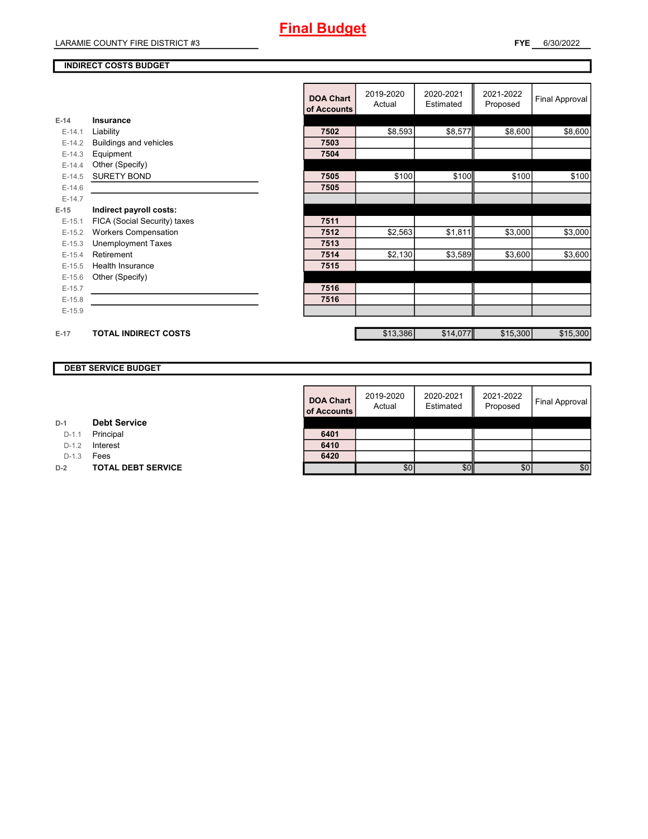#### **INDIRECT COSTS BUDGET**

|          |                              | <b>DOA Chart</b><br>of Accounts | 2019-2020<br>Actual | 2020-2021<br>Estimated | 2021-2022<br>Proposed | <b>Final Approval</b> |
|----------|------------------------------|---------------------------------|---------------------|------------------------|-----------------------|-----------------------|
| $E-14$   | Insurance                    |                                 |                     |                        |                       |                       |
| $E-14.1$ | Liability                    | 7502                            | \$8,593             | \$8,577                | \$8,600               | \$8,600               |
| $E-14.2$ | Buildings and vehicles       | 7503                            |                     |                        |                       |                       |
| $E-14.3$ | Equipment                    | 7504                            |                     |                        |                       |                       |
| $E-14.4$ | Other (Specify)              |                                 |                     |                        |                       |                       |
| $E-14.5$ | <b>SURETY BOND</b>           | 7505                            | \$100               | \$100                  | \$100                 | \$100                 |
| $E-14.6$ |                              | 7505                            |                     |                        |                       |                       |
| $E-14.7$ |                              |                                 |                     |                        |                       |                       |
| $E-15$   | Indirect payroll costs:      |                                 |                     |                        |                       |                       |
| $E-15.1$ | FICA (Social Security) taxes | 7511                            |                     |                        |                       |                       |
| $E-15.2$ | <b>Workers Compensation</b>  | 7512                            | \$2,563             | \$1,811                | \$3,000               | \$3,000               |
| $E-15.3$ | <b>Unemployment Taxes</b>    | 7513                            |                     |                        |                       |                       |
| $E-15.4$ | Retirement                   | 7514                            | \$2,130             | \$3,589                | \$3,600               | \$3,600               |
| $E-15.5$ | <b>Health Insurance</b>      | 7515                            |                     |                        |                       |                       |
| $E-15.6$ | Other (Specify)              |                                 |                     |                        |                       |                       |
| $E-15.7$ |                              | 7516                            |                     |                        |                       |                       |
| $E-15.8$ |                              | 7516                            |                     |                        |                       |                       |
| $E-15.9$ |                              |                                 |                     |                        |                       |                       |
|          |                              |                                 |                     |                        |                       |                       |
| $E-17$   | <b>TOTAL INDIRECT COSTS</b>  |                                 | \$13,386            | \$14,077               | \$15,300              | \$15,300              |

### **DEBT SERVICE BUDGET**

| <b>DOA Chart</b><br>of Accounts | 2019-2020<br>Actual | 2020-2021<br>Estimated | 2021-2022<br>Proposed | Final Approval |
|---------------------------------|---------------------|------------------------|-----------------------|----------------|
| 6401                            |                     |                        |                       |                |
| 6410                            |                     |                        |                       |                |
| 6420                            |                     |                        |                       |                |
|                                 | \$0                 |                        | \$0                   | \$0            |

D-1.1 **Principal** 

D-1.2 **Interest** 

D-1.3 **Fees** 

**D-2 TOTAL DEBT SERVICE**